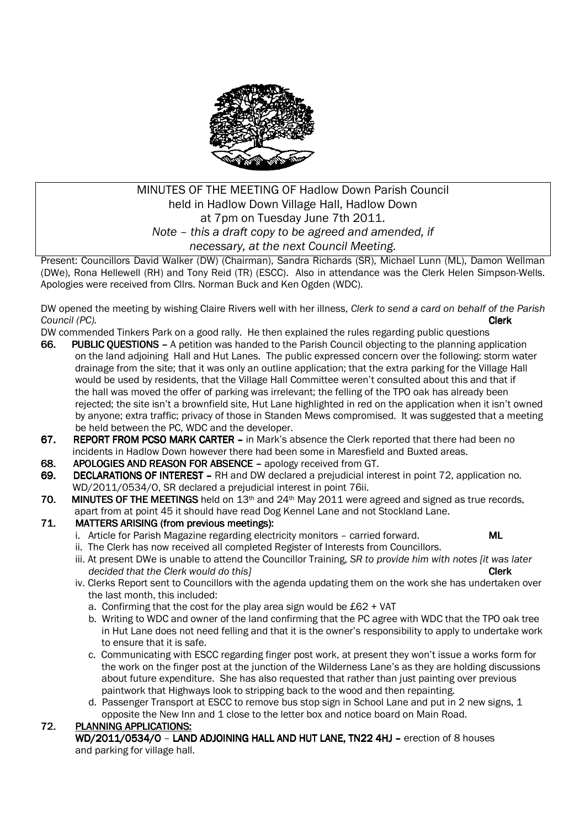

# MINUTES OF THE MEETING OF Hadlow Down Parish Council held in Hadlow Down Village Hall, Hadlow Down at 7pm on Tuesday June 7th 2011. *Note – this a draft copy to be agreed and amended, if necessary, at the next Council Meeting.*

Present: Councillors David Walker (DW) (Chairman), Sandra Richards (SR), Michael Lunn (ML), Damon Wellman (DWe), Rona Hellewell (RH) and Tony Reid (TR) (ESCC). Also in attendance was the Clerk Helen Simpson-Wells. Apologies were received from Cllrs. Norman Buck and Ken Ogden (WDC).

DW opened the meeting by wishing Claire Rivers well with her illness, *Clerk to send a card on behalf of the Parish Council (PC).* Clerk

DW commended Tinkers Park on a good rally. He then explained the rules regarding public questions

- 66. PUBLIC OUESTIONS A petition was handed to the Parish Council objecting to the planning application on the land adjoining Hall and Hut Lanes. The public expressed concern over the following: storm water drainage from the site; that it was only an outline application; that the extra parking for the Village Hall would be used by residents, that the Village Hall Committee weren't consulted about this and that if the hall was moved the offer of parking was irrelevant; the felling of the TPO oak has already been rejected; the site isn't a brownfield site, Hut Lane highlighted in red on the application when it isn't owned by anyone; extra traffic; privacy of those in Standen Mews compromised. It was suggested that a meeting be held between the PC, WDC and the developer.
- 67. REPORT FROM PCSO MARK CARTER in Mark's absence the Clerk reported that there had been no incidents in Hadlow Down however there had been some in Maresfield and Buxted areas.
- 68. APOLOGIES AND REASON FOR ABSENCE apology received from GT.
- 69. DECLARATIONS OF INTEREST RH and DW declared a prejudicial interest in point 72, application no. WD/2011/0534/O, SR declared a prejudicial interest in point 76ii.<br>70. MINUTES OF THE MEETINGS held on 13<sup>th</sup> and 24<sup>th</sup> May 2011 were
- **MINUTES OF THE MEETINGS** held on  $13<sup>th</sup>$  and  $24<sup>th</sup>$  May 2011 were agreed and signed as true records, apart from at point 45 it should have read Dog Kennel Lane and not Stockland Lane.

### 71. MATTERS ARISING (from previous meetings):

- i. Article for Parish Magazine regarding electricity monitors carried forward. ML
- ii. The Clerk has now received all completed Register of Interests from Councillors.
- iii. At present DWe is unable to attend the Councillor Training, *SR to provide him with notes [it was later*  decided that the Clerk would do this] **Clerk Clerk Clerk Clerk**
- iv. Clerks Report sent to Councillors with the agenda updating them on the work she has undertaken over the last month, this included:
	- a. Confirming that the cost for the play area sign would be £62 + VAT
	- b. Writing to WDC and owner of the land confirming that the PC agree with WDC that the TPO oak tree in Hut Lane does not need felling and that it is the owner's responsibility to apply to undertake work to ensure that it is safe.
	- c. Communicating with ESCC regarding finger post work, at present they won't issue a works form for the work on the finger post at the junction of the Wilderness Lane's as they are holding discussions about future expenditure. She has also requested that rather than just painting over previous paintwork that Highways look to stripping back to the wood and then repainting.
	- d. Passenger Transport at ESCC to remove bus stop sign in School Lane and put in 2 new signs, 1 opposite the New Inn and 1 close to the letter box and notice board on Main Road.

### 72. PLANNING APPLICATIONS:

WD/2011/0534/O - LAND ADJOINING HALL AND HUT LANE, TN22 4HJ - erection of 8 houses and parking for village hall.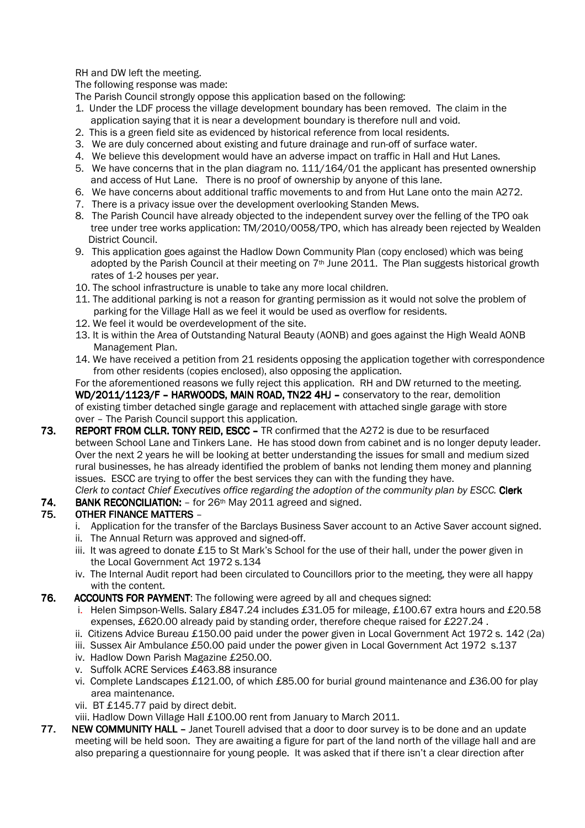RH and DW left the meeting.

The following response was made:

The Parish Council strongly oppose this application based on the following:

- 1. Under the LDF process the village development boundary has been removed. The claim in the application saying that it is near a development boundary is therefore null and void.
- 2. This is a green field site as evidenced by historical reference from local residents.
- 3. We are duly concerned about existing and future drainage and run-off of surface water.
- 4. We believe this development would have an adverse impact on traffic in Hall and Hut Lanes.
- 5. We have concerns that in the plan diagram no. 111/164/01 the applicant has presented ownership and access of Hut Lane. There is no proof of ownership by anyone of this lane.
- 6. We have concerns about additional traffic movements to and from Hut Lane onto the main A272.
- 7. There is a privacy issue over the development overlooking Standen Mews.
- 8. The Parish Council have already objected to the independent survey over the felling of the TPO oak tree under tree works application: TM/2010/0058/TPO, which has already been rejected by Wealden District Council.
- 9. This application goes against the Hadlow Down Community Plan (copy enclosed) which was being adopted by the Parish Council at their meeting on 7<sup>th</sup> June 2011. The Plan suggests historical growth rates of 1-2 houses per year.
- 10. The school infrastructure is unable to take any more local children.
- 11. The additional parking is not a reason for granting permission as it would not solve the problem of parking for the Village Hall as we feel it would be used as overflow for residents.
- 12. We feel it would be overdevelopment of the site.
- 13. It is within the Area of Outstanding Natural Beauty (AONB) and goes against the High Weald AONB Management Plan.
- 14. We have received a petition from 21 residents opposing the application together with correspondence from other residents (copies enclosed), also opposing the application.

For the aforementioned reasons we fully reject this application. RH and DW returned to the meeting. WD/2011/1123/F – HARWOODS, MAIN ROAD, TN22 4HJ – conservatory to the rear, demolition of existing timber detached single garage and replacement with attached single garage with store over – The Parish Council support this application.

- 73. REPORT FROM CLLR. TONY REID, ESCC TR confirmed that the A272 is due to be resurfaced between School Lane and Tinkers Lane. He has stood down from cabinet and is no longer deputy leader. Over the next 2 years he will be looking at better understanding the issues for small and medium sized rural businesses, he has already identified the problem of banks not lending them money and planning issues. ESCC are trying to offer the best services they can with the funding they have. *Clerk to contact Chief Executives office regarding the adoption of the community plan by ESCC.* Clerk
- 74. BANK RECONCILIATION:  $-$  for 26<sup>th</sup> May 2011 agreed and signed.<br>75. **OTHER FINANCE MATTERS** –

### OTHER FINANCE MATTERS –

- i. Application for the transfer of the Barclays Business Saver account to an Active Saver account signed.
- ii. The Annual Return was approved and signed-off.
- iii. It was agreed to donate £15 to St Mark's School for the use of their hall, under the power given in the Local Government Act 1972 s.134
- iv. The Internal Audit report had been circulated to Councillors prior to the meeting, they were all happy with the content.
- 76. ACCOUNTS FOR PAYMENT: The following were agreed by all and cheques signed:
	- i. Helen Simpson-Wells. Salary £847.24 includes £31.05 for mileage, £100.67 extra hours and £20.58 expenses, £620.00 already paid by standing order, therefore cheque raised for £227.24 .
	- ii. Citizens Advice Bureau £150.00 paid under the power given in Local Government Act 1972 s. 142 (2a)
	- iii. Sussex Air Ambulance £50.00 paid under the power given in Local Government Act 1972 s.137
	- iv. Hadlow Down Parish Magazine £250.00.
	- v. Suffolk ACRE Services £463.88 insurance
	- vi. Complete Landscapes £121.00, of which £85.00 for burial ground maintenance and £36.00 for play area maintenance.
	- vii. BT £145.77 paid by direct debit.
	- viii. Hadlow Down Village Hall £100.00 rent from January to March 2011.
- 77. NEW COMMUNITY HALL Janet Tourell advised that a door to door survey is to be done and an update meeting will be held soon. They are awaiting a figure for part of the land north of the village hall and are also preparing a questionnaire for young people. It was asked that if there isn't a clear direction after